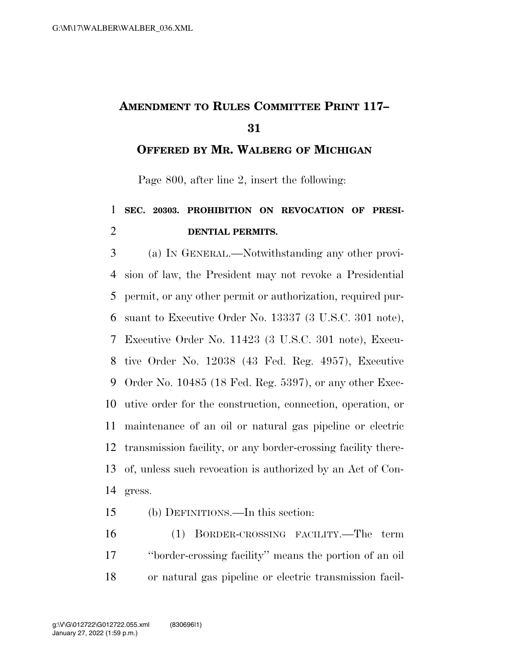## **AMENDMENT TO RULES COMMITTEE PRINT 117–**

**OFFERED BY MR. WALBERG OF MICHIGAN**

Page 800, after line 2, insert the following:

## **SEC. 20303. PROHIBITION ON REVOCATION OF PRESI-DENTIAL PERMITS.**

 (a) IN GENERAL.—Notwithstanding any other provi- sion of law, the President may not revoke a Presidential permit, or any other permit or authorization, required pur- suant to Executive Order No. 13337 (3 U.S.C. 301 note), Executive Order No. 11423 (3 U.S.C. 301 note), Execu- tive Order No. 12038 (43 Fed. Reg. 4957), Executive Order No. 10485 (18 Fed. Reg. 5397), or any other Exec- utive order for the construction, connection, operation, or maintenance of an oil or natural gas pipeline or electric transmission facility, or any border-crossing facility there- of, unless such revocation is authorized by an Act of Con-gress.

(b) DEFINITIONS.—In this section:

 (1) BORDER-CROSSING FACILITY.—The term ''border-crossing facility'' means the portion of an oil or natural gas pipeline or electric transmission facil-